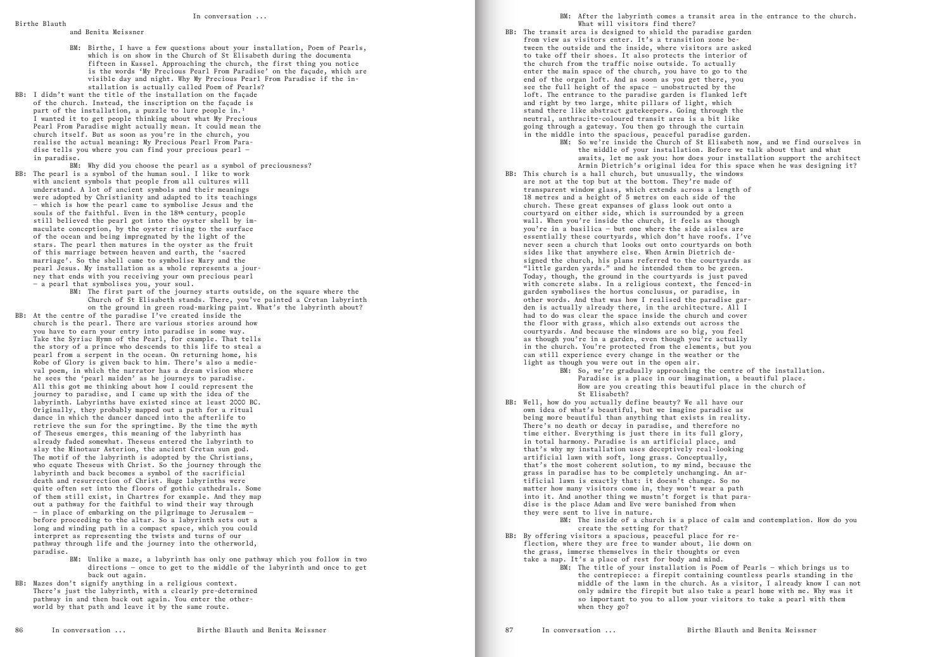BM: After the labyrinth comes a transit area in the entrance to the church. What will visitors find there? BB: The transit area is designed to shield the paradise garden from view as visitors enter. It's a transition zone between the outside and the inside, where visitors are asked to take off their shoes. It also protects the interior of the church from the traffic noise outside. To actually enter the main space of the church, you have to go to the end of the organ loft. And as soon as you get there, you see the full height of the space — unobstructed by the loft. The entrance to the paradise garden is flanked left and right by two large, white pillars of light, which stand there like abstract gatekeepers. Going through the neutral, anthracite-coloured transit area is a bit like going through a gateway. You then go through the curtain in the middle into the spacious, peaceful paradise garden. BM: So we're inside the Church of St Elisabeth now, and we find ourselves in the middle of your installation. Before we talk about that and what awaits, let me ask you: how does your installation support the architect Armin Dietrich's original idea for this space when he was designing it? BB: This church is a hall church, but unusually, the windows are not at the top but at the bottom. They're made of transparent window glass, which extends across a length of 18 metres and a height of 5 metres on each side of the church. These great expanses of glass look out onto a courtyard on either side, which is surrounded by a green wall. When you're inside the church, it feels as though you're in a basilica — but one where the side aisles are essentially these courtyards, which don't have roofs. I've never seen a church that looks out onto courtyards on both sides like that anywhere else. When Armin Dietrich designed the church, his plans referred to the courtyards as "little garden yards." and he intended them to be green. Today, though, the ground in the courtyards is just paved with concrete slabs. In a religious context, the fenced-in garden symbolises the hortus conclusus, or paradise, in other words. And that was how I realised the paradise garden is actually already there, in the architecture. All I had to do was clear the space inside the church and cover the floor with grass, which also extends out across the courtyards. And because the windows are so big, you feel as though you're in a garden, even though you're actually in the church. You're protected from the elements, but you can still experience every change in the weather or the light as though you were out in the open air. BM: So, we're gradually approaching the centre of the installation. Paradise is a place in our imagination, a beautiful place. How are you creating this beautiful place in the church of St Elisabeth? BB: Well, how do you actually define beauty? We all have our own idea of what's beautiful, but we imagine paradise as being more beautiful than anything that exists in reality. There's no death or decay in paradise, and therefore no time either. Everything is just there in its full glory, in total harmony. Paradise is an artificial place, and that's why my installation uses deceptively real-looking artificial lawn with soft, long grass. Conceptually, that's the most coherent solution, to my mind, because the grass in paradise has to be completely unchanging. An artificial lawn is exactly that: it doesn't change. So no matter how many visitors come in, they won't wear a path into it. And another thing we mustn't forget is that paradise is the place Adam and Eve were banished from when BM: The inside of a church is a place of calm and contemplation. How do you create the setting for that? BB: By offering visitors a spacious, peaceful place for reflection, where they are free to wander about, lie down on the grass, immerse themselves in their thoughts or even take a nap. It's a place of rest for body and mind. BM: The title of your installation is Poem of Pearls — which brings us to the centrepiece: a firepit containing countless pearls standing in the middle of the lawn in the church. As a visitor, I already know I can not only admire the firepit but also take a pearl home with me. Why was it so important to you to allow your visitors to take a pearl with them

BM: Why did you choose the pearl as a symbol of preciousness? BB: The pearl is a symbol of the human soul. I like to work with ancient symbols that people from all cultures will understand. A lot of ancient symbols and their meanings were adopted by Christianity and adapted to its teachings — which is how the pearl came to symbolise Jesus and the souls of the faithful. Even in the 18th century, people still believed the pearl got into the oyster shell by immaculate conception, by the oyster rising to the surface of the ocean and being impregnated by the light of the stars. The pearl then matures in the oyster as the fruit of this marriage between heaven and earth, the 'sacred marriage'. So the shell came to symbolise Mary and the pearl Jesus. My installation as a whole represents a journey that ends with you receiving your own precious pearl — a pearl that symbolises you, your soul.

- -
- they were sent to live in nature.
- 

## In conversation ...

## Birthe Blauth

and Benita Meissner

- BM: Birthe, I have a few questions about your installation, Poem of Pearls, which is on show in the Church of St Elisabeth during the documenta fifteen in Kassel. Approaching the church, the first thing you notice is the words 'My Precious Pearl From Paradise' on the façade, which are visible day and night. Why My Precious Pearl From Paradise if the installation is actually called Poem of Pearls?
- BB: I didn't want the title of the installation on the façade of the church. Instead, the inscription on the façade is part of the installation, a puzzle to lure people in.<sup>1</sup> I wanted it to get people thinking about what My Precious Pearl From Paradise might actually mean. It could mean the church itself. But as soon as you're in the church, you realise the actual meaning: My Precious Pearl From Paradise tells you where you can find your precious pearl in paradise.

BM: The first part of the journey starts outside, on the square where the Church of St Elisabeth stands. There, you've painted a Cretan labyrinth on the ground in green road-marking paint. What's the labyrinth about?

BB: At the centre of the paradise I've created inside the church is the pearl. There are various stories around how you have to earn your entry into paradise in some way. Take the Syriac Hymn of the Pearl, for example. That tells the story of a prince who descends to this life to steal a pearl from a serpent in the ocean. On returning home, his Robe of Glory is given back to him. There's also a medieval poem, in which the narrator has a dream vision where he sees the 'pearl maiden' as he journeys to paradise. All this got me thinking about how I could represent the journey to paradise, and I came up with the idea of the labyrinth. Labyrinths have existed since at least 2000 BC. Originally, they probably mapped out a path for a ritual dance in which the dancer danced into the afterlife to retrieve the sun for the springtime. By the time the myth of Theseus emerges, this meaning of the labyrinth has already faded somewhat. Theseus entered the labyrinth to slay the Minotaur Asterion, the ancient Cretan sun god. The motif of the labyrinth is adopted by the Christians, who equate Theseus with Christ. So the journey through the labyrinth and back becomes a symbol of the sacrificial death and resurrection of Christ. Huge labyrinths were quite often set into the floors of gothic cathedrals. Some of them still exist, in Chartres for example. And they map out a pathway for the faithful to wind their way through — in place of embarking on the pilgrimage to Jerusalem before proceeding to the altar. So a labyrinth sets out a long and winding path in a compact space, which you could interpret as representing the twists and turns of our pathway through life and the journey into the otherworld, paradise.

- BM: Unlike a maze, a labyrinth has only one pathway which you follow in two directions — once to get to the middle of the labyrinth and once to get back out again.
- BB: Mazes don't signify anything in a religious context. There's just the labyrinth, with a clearly pre-determined pathway in and then back out again. You enter the otherworld by that path and leave it by the same route.